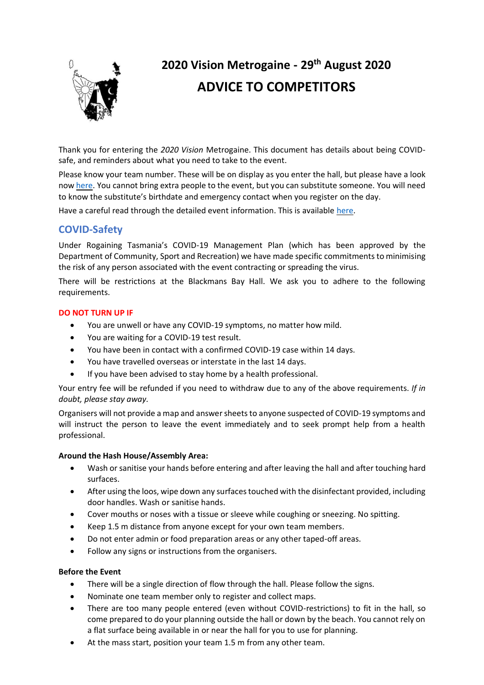

# **2020 Vision Metrogaine - 29th August 2020 ADVICE TO COMPETITORS**

Thank you for entering the *2020 Vision* Metrogaine. This document has details about being COVIDsafe, and reminders about what you need to take to the event.

Please know your team number. These will be on display as you enter the hall, but please have a look now [here.](https://rt.asn.au/?view=article&id=125:2020-vision-entries&catid=2:uncategorised) You cannot bring extra people to the event, but you can substitute someone. You will need to know the substitute's birthdate and emergency contact when you register on the day.

Have a careful read through the detailed event information. This is available [here.](https://www.rt.asn.au/media/com_eventbooking/2020%20Vision%20Event%20Information.pdf)

## **COVID-Safety**

Under Rogaining Tasmania's COVID-19 Management Plan (which has been approved by the Department of Community, Sport and Recreation) we have made specific commitments to minimising the risk of any person associated with the event contracting or spreading the virus.

There will be restrictions at the Blackmans Bay Hall. We ask you to adhere to the following requirements.

#### **DO NOT TURN UP IF**

- You are unwell or have any COVID-19 symptoms, no matter how mild.
- You are waiting for a COVID-19 test result.
- You have been in contact with a confirmed COVID-19 case within 14 days.
- You have travelled overseas or interstate in the last 14 days.
- If you have been advised to stay home by a health professional.

Your entry fee will be refunded if you need to withdraw due to any of the above requirements. *If in doubt, please stay away.*

Organisers will not provide a map and answer sheets to anyone suspected of COVID-19 symptoms and will instruct the person to leave the event immediately and to seek prompt help from a health professional.

#### **Around the Hash House/Assembly Area:**

- Wash or sanitise your hands before entering and after leaving the hall and after touching hard surfaces.
- After using the loos, wipe down any surfaces touched with the disinfectant provided, including door handles. Wash or sanitise hands.
- Cover mouths or noses with a tissue or sleeve while coughing or sneezing. No spitting.
- Keep 1.5 m distance from anyone except for your own team members.
- Do not enter admin or food preparation areas or any other taped-off areas.
- Follow any signs or instructions from the organisers.

#### **Before the Event**

- There will be a single direction of flow through the hall. Please follow the signs.
- Nominate one team member only to register and collect maps.
- There are too many people entered (even without COVID-restrictions) to fit in the hall, so come prepared to do your planning outside the hall or down by the beach. You cannot rely on a flat surface being available in or near the hall for you to use for planning.
- At the mass start, position your team 1.5 m from any other team.